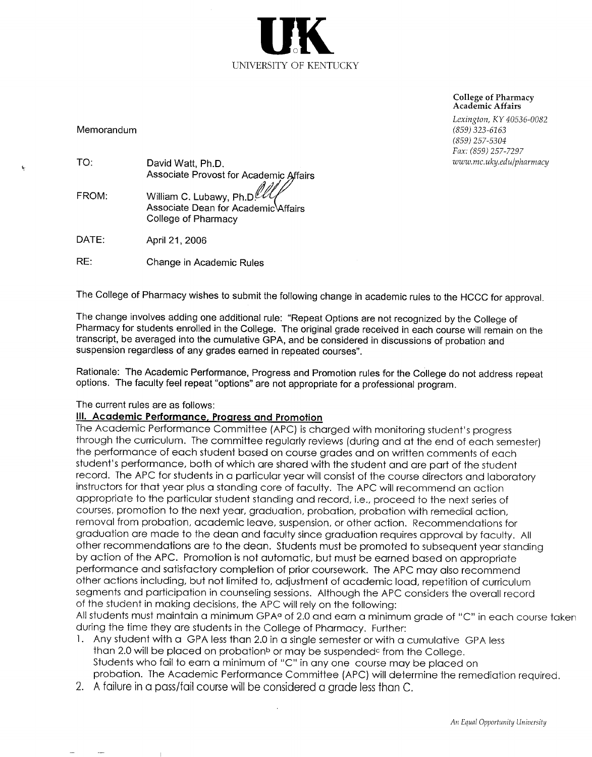

**College of Pharmacy** Academic Affairs

Lexington, KY 40536-0082  $(859)$  323-6163  $(859)$  257-5304 Fax: (859) 257-7297 www.mc.uky.edu/pharmacy

Memorandum

 $\mathbf{r}$ 

| TO:   | David Watt, Ph.D.                      |
|-------|----------------------------------------|
|       | Associate Provost for Academic Affairs |
| FROM: | William C. Lubawy, Ph.D.               |
|       | Associate Dean for Academic Affairs    |

College of Pharmacy

DATE: April 21, 2006

RE: Change in Academic Rules

The College of Pharmacy wishes to submit the following change in academic rules to the HCCC for approval.

The change involves adding one additional rule: "Repeat Options are not recognized by the College of Pharmacy for students enrolled in the College. The original grade received in each course will remain on the transcript, be averaged into the cumulative GPA, and be considered in discussions of probation and suspension regardless of any grades earned in repeated courses".

Rationale: The Academic Performance, Progress and Promotion rules for the College do not address repeat options. The faculty feel repeat "options" are not appropriate for a professional program.

#### The current rules are as follows:

#### III. Academic Performance, Progress and Promotion

The Academic Performance Committee (APC) is charged with monitoring student's progress through the curriculum. The committee regularly reviews (during and at the end of each semester) the performance of each student based on course grades and on written comments of each student's performance, both of which are shared with the student and are part of the student record. The APC for students in a particular year will consist of the course directors and laboratory instructors for that year plus a standing core of faculty. The APC will recommend an action appropriate to the particular student standing and record, i.e., proceed to the next series of courses, promotion to the next year, graduation, probation, probation with remedial action, removal from probation, academic leave, suspension, or other action. Recommendations for graduation are made to the dean and faculty since graduation requires approval by faculty. All other recommendations are to the dean. Students must be promoted to subsequent year standing by action of the APC. Promotion is not automatic, but must be earned based on appropriate performance and satisfactory completion of prior coursework. The APC may also recommend other actions including, but not limited to, adjustment of academic load, repetition of curriculum segments and participation in counseling sessions. Although the APC considers the overall record of the student in making decisions, the APC will rely on the following:

All students must maintain a minimum GPA<sup>a</sup> of 2.0 and earn a minimum grade of "C" in each course taken during the time they are students in the College of Pharmacy. Further:

- 1. Any student with a GPA less than 2.0 in a single semester or with a cumulative GPA less than 2.0 will be placed on probation<sup>b</sup> or may be suspended<sup>c</sup> from the College. Students who fail to earn a minimum of "C" in any one course may be placed on probation. The Academic Performance Committee (APC) will determine the remediation required.
- 2. A failure in a pass/fail course will be considered a grade less than C.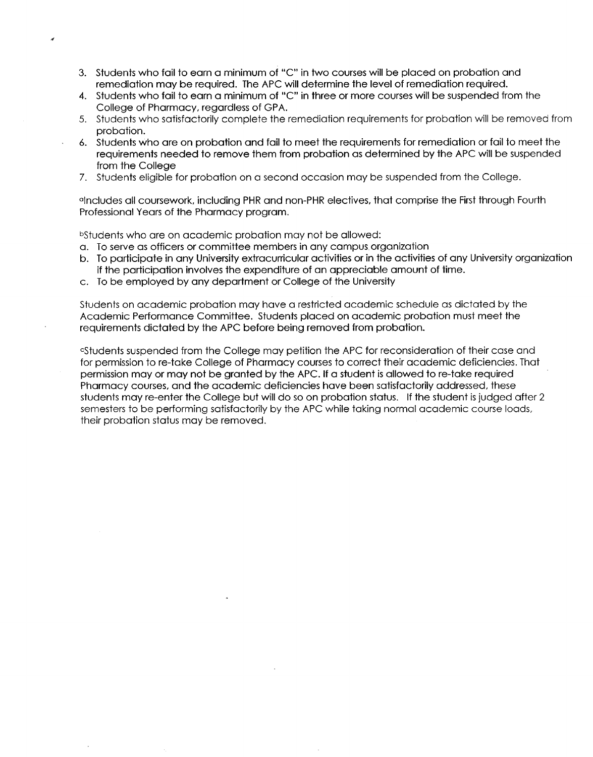- 3. Students who fail to earn a minimum of "C" in two courses will be placed on probation and remediation may be required. The APC will determine the level of remediation required.
- 4. Students who fail to earn a minimum of "C" in three or more courses will be suspended from the College of Pharmacy, regardless of GPA.
- 5. Students who satisfactorily complete the remediation requirements for probation will be removed from probation.
- 6. Students who are on probation and fail to meet the requirements for remediation or fail to meet the requirements needed to remove them from probation as determined by the APC will be suspended from the College
- 7. Students eligible for probation on a second occasion may be suspended from the College.

alncludes all coursework, including PHR and non-PHR electives, that comprise the First through Fourth Professional Years of the Pharmacy program.

bStudents who are on academic probation may not be allowed:

- a. To serve as officers or committee members in any campus organization
- b. To participate in any University extracurricular activities or in the activities of any University organization if the participation involves the expenditure of an appreciable amount of time.
- c. To be employed by any department or College of the University

Students on academic probation may have a restricted academic schedule as dictated by the Academic Performance Committee. Students placed on academic probation must meet the requirements dictated by the APC before being removed from probation.

estudents suspended from the College may petition the APC for reconsideration of their case and for permission to re-take College of Pharmacy courses to correct their academic deficiencies. That permission may or may not be granted by the APC. If a student is allowed to re-take required Pharmacy courses, and the academic deficiencies have been satisfactorily addressed, these students may re-enter the College but will do so on probation status. If the student is judged after 2 semesters to be performing satisfactorily by the APC while taking normal academic course loads, their probation status may be removed.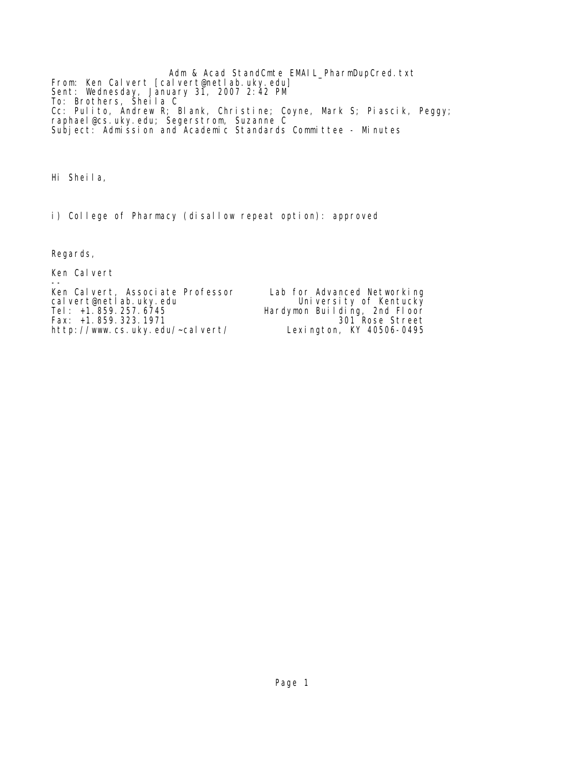Adm & Acad StandCmte EMAIL\_PharmDupCred.txt From: Ken Calvert [calvert@netlab.uky.edu] Sent: Wednesday, January 31, 2007 2:42 PM To: Brothers, Sheila C Cc: Pulito, Andrew R; Blank, Christine; Coyne, Mark S; Piascik, Peggy; raphael@cs.uky.edu; Segerstrom, Suzanne C Subject: Admission and Academic Standards Committee - Minutes

Hi Sheila,

i) College of Pharmacy (disallow repeat option): approved

Regards,

Ken Calvert

-- Ken Calvert, Associate Professor Lab for Advanced Networking cal vert@netl ab. uky. edu Uni versi ty of Kentucky Tel: 1.859.257.6745<br>
Calvert@netlab.uky.edu<br>
Tel: +1.859.257.6745<br>
Fax: +1.859.323.1971<br>
Tel: +1.859.323.1971<br>
Bardymon Building, 2nd Floor<br>
Bardymon Building, 2nd Floor Fax: +1.859.323.1971 <br>http://www.cs.uky.edu/~calvert/ Lexington, KY 40506-0495 http://www.cs.uky.edu/~calvert/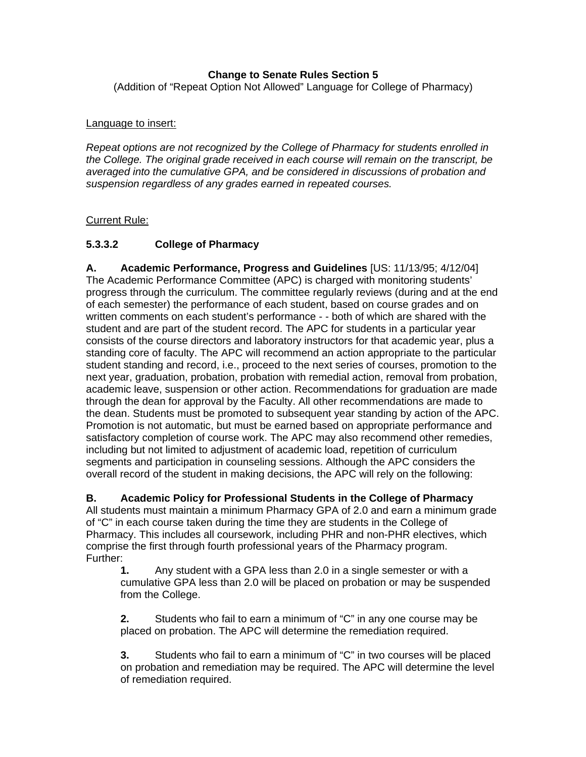# **Change to Senate Rules Section 5**

(Addition of "Repeat Option Not Allowed" Language for College of Pharmacy)

## Language to insert:

*Repeat options are not recognized by the College of Pharmacy for students enrolled in the College. The original grade received in each course will remain on the transcript, be averaged into the cumulative GPA, and be considered in discussions of probation and suspension regardless of any grades earned in repeated courses.* 

## Current Rule:

# **5.3.3.2 College of Pharmacy**

**A. Academic Performance, Progress and Guidelines** [US: 11/13/95; 4/12/04] The Academic Performance Committee (APC) is charged with monitoring students' progress through the curriculum. The committee regularly reviews (during and at the end of each semester) the performance of each student, based on course grades and on written comments on each student's performance - - both of which are shared with the student and are part of the student record. The APC for students in a particular year consists of the course directors and laboratory instructors for that academic year, plus a standing core of faculty. The APC will recommend an action appropriate to the particular student standing and record, i.e., proceed to the next series of courses, promotion to the next year, graduation, probation, probation with remedial action, removal from probation, academic leave, suspension or other action. Recommendations for graduation are made through the dean for approval by the Faculty. All other recommendations are made to the dean. Students must be promoted to subsequent year standing by action of the APC. Promotion is not automatic, but must be earned based on appropriate performance and satisfactory completion of course work. The APC may also recommend other remedies, including but not limited to adjustment of academic load, repetition of curriculum segments and participation in counseling sessions. Although the APC considers the overall record of the student in making decisions, the APC will rely on the following:

## **B. Academic Policy for Professional Students in the College of Pharmacy**

All students must maintain a minimum Pharmacy GPA of 2.0 and earn a minimum grade of "C" in each course taken during the time they are students in the College of Pharmacy. This includes all coursework, including PHR and non-PHR electives, which comprise the first through fourth professional years of the Pharmacy program. Further:

**1.** Any student with a GPA less than 2.0 in a single semester or with a cumulative GPA less than 2.0 will be placed on probation or may be suspended from the College.

**2.** Students who fail to earn a minimum of "C" in any one course may be placed on probation. The APC will determine the remediation required.

**3.** Students who fail to earn a minimum of "C" in two courses will be placed on probation and remediation may be required. The APC will determine the level of remediation required.